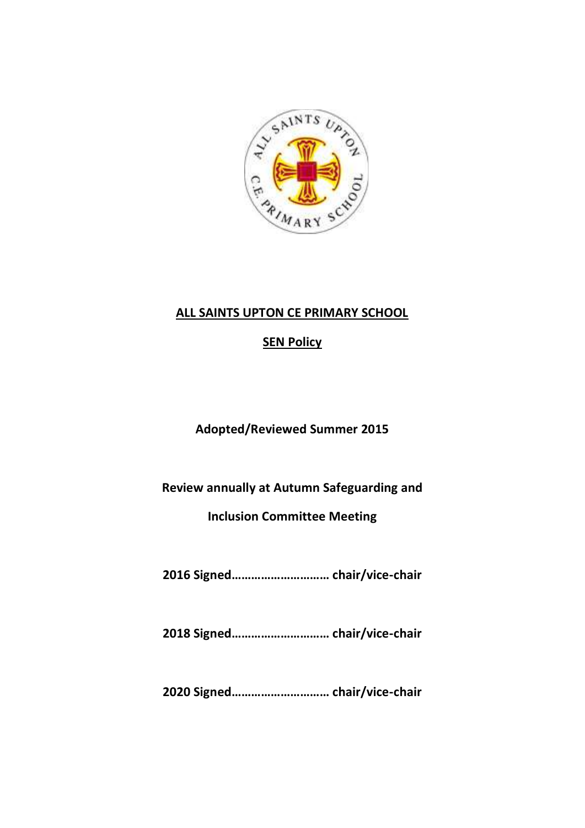

#### **ALL SAINTS UPTON CE PRIMARY SCHOOL**

#### **SEN Policy**

#### **Adopted/Reviewed Summer 2015**

**Review annually at Autumn Safeguarding and** 

#### **Inclusion Committee Meeting**

**2016 Signed………………………… chair/vice-chair**

**2018 Signed………………………… chair/vice-chair**

**2020 Signed………………………… chair/vice-chair**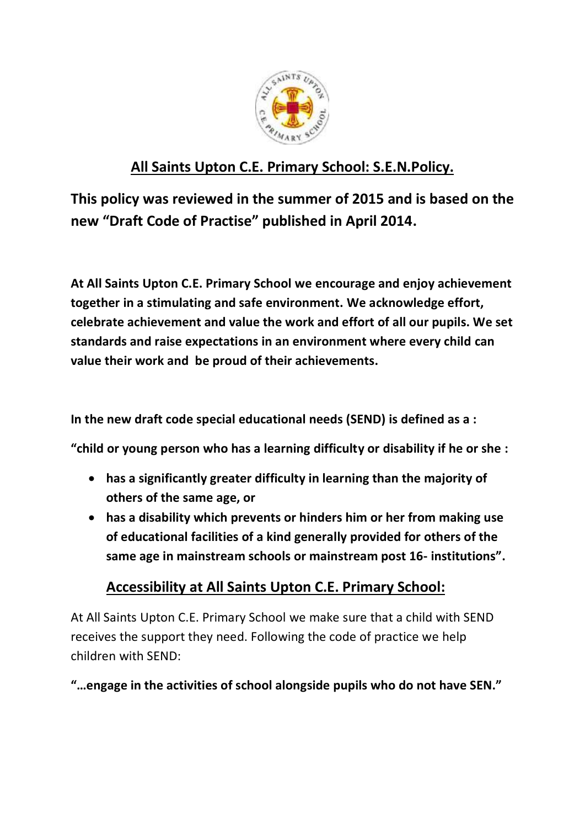

### **All Saints Upton C.E. Primary School: S.E.N.Policy.**

**This policy was reviewed in the summer of 2015 and is based on the new "Draft Code of Practise" published in April 2014.**

**At All Saints Upton C.E. Primary School we encourage and enjoy achievement together in a stimulating and safe environment. We acknowledge effort, celebrate achievement and value the work and effort of all our pupils. We set standards and raise expectations in an environment where every child can value their work and be proud of their achievements.**

**In the new draft code special educational needs (SEND) is defined as a :**

**"child or young person who has a learning difficulty or disability if he or she :**

- **has a significantly greater difficulty in learning than the majority of others of the same age, or**
- **has a disability which prevents or hinders him or her from making use of educational facilities of a kind generally provided for others of the same age in mainstream schools or mainstream post 16- institutions".**

### **Accessibility at All Saints Upton C.E. Primary School:**

At All Saints Upton C.E. Primary School we make sure that a child with SEND receives the support they need. Following the code of practice we help children with SEND:

**"…engage in the activities of school alongside pupils who do not have SEN."**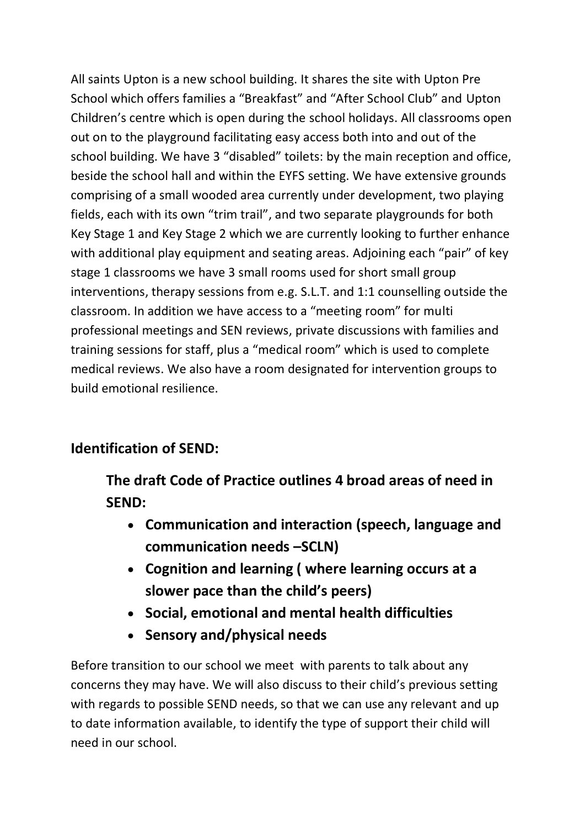All saints Upton is a new school building. It shares the site with Upton Pre School which offers families a "Breakfast" and "After School Club" and Upton Children's centre which is open during the school holidays. All classrooms open out on to the playground facilitating easy access both into and out of the school building. We have 3 "disabled" toilets: by the main reception and office, beside the school hall and within the EYFS setting. We have extensive grounds comprising of a small wooded area currently under development, two playing fields, each with its own "trim trail", and two separate playgrounds for both Key Stage 1 and Key Stage 2 which we are currently looking to further enhance with additional play equipment and seating areas. Adjoining each "pair" of key stage 1 classrooms we have 3 small rooms used for short small group interventions, therapy sessions from e.g. S.L.T. and 1:1 counselling outside the classroom. In addition we have access to a "meeting room" for multi professional meetings and SEN reviews, private discussions with families and training sessions for staff, plus a "medical room" which is used to complete medical reviews. We also have a room designated for intervention groups to build emotional resilience.

### **Identification of SEND:**

**The draft Code of Practice outlines 4 broad areas of need in SEND:**

- **Communication and interaction (speech, language and communication needs –SCLN)**
- **Cognition and learning ( where learning occurs at a slower pace than the child's peers)**
- **Social, emotional and mental health difficulties**
- **Sensory and/physical needs**

Before transition to our school we meet with parents to talk about any concerns they may have. We will also discuss to their child's previous setting with regards to possible SEND needs, so that we can use any relevant and up to date information available, to identify the type of support their child will need in our school.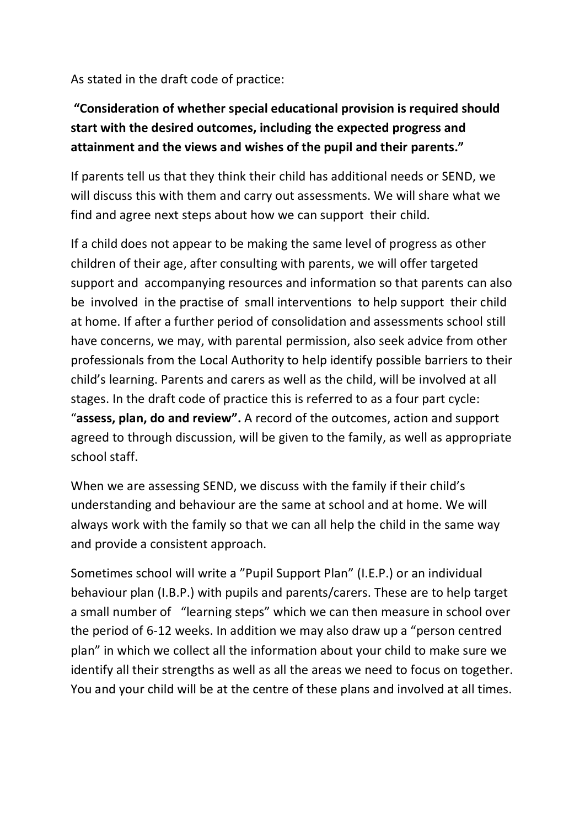As stated in the draft code of practice:

### **"Consideration of whether special educational provision is required should start with the desired outcomes, including the expected progress and attainment and the views and wishes of the pupil and their parents."**

If parents tell us that they think their child has additional needs or SEND, we will discuss this with them and carry out assessments. We will share what we find and agree next steps about how we can support their child.

If a child does not appear to be making the same level of progress as other children of their age, after consulting with parents, we will offer targeted support and accompanying resources and information so that parents can also be involved in the practise of small interventions to help support their child at home. If after a further period of consolidation and assessments school still have concerns, we may, with parental permission, also seek advice from other professionals from the Local Authority to help identify possible barriers to their child's learning. Parents and carers as well as the child, will be involved at all stages. In the draft code of practice this is referred to as a four part cycle: "**assess, plan, do and review".** A record of the outcomes, action and support agreed to through discussion, will be given to the family, as well as appropriate school staff.

When we are assessing SEND, we discuss with the family if their child's understanding and behaviour are the same at school and at home. We will always work with the family so that we can all help the child in the same way and provide a consistent approach.

Sometimes school will write a "Pupil Support Plan" (I.E.P.) or an individual behaviour plan (I.B.P.) with pupils and parents/carers. These are to help target a small number of "learning steps" which we can then measure in school over the period of 6-12 weeks. In addition we may also draw up a "person centred plan" in which we collect all the information about your child to make sure we identify all their strengths as well as all the areas we need to focus on together. You and your child will be at the centre of these plans and involved at all times.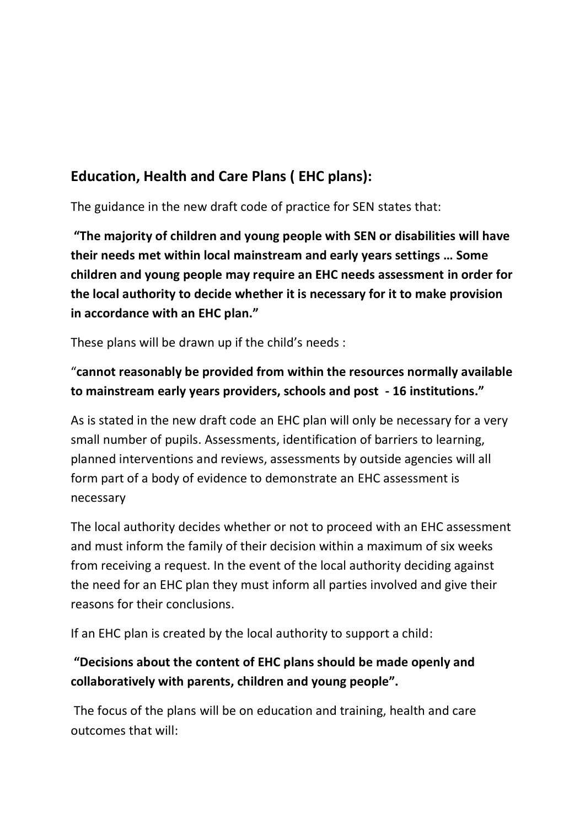### **Education, Health and Care Plans ( EHC plans):**

The guidance in the new draft code of practice for SEN states that:

**"The majority of children and young people with SEN or disabilities will have their needs met within local mainstream and early years settings … Some children and young people may require an EHC needs assessment in order for the local authority to decide whether it is necessary for it to make provision in accordance with an EHC plan."**

These plans will be drawn up if the child's needs :

#### "**cannot reasonably be provided from within the resources normally available to mainstream early years providers, schools and post - 16 institutions."**

As is stated in the new draft code an EHC plan will only be necessary for a very small number of pupils. Assessments, identification of barriers to learning, planned interventions and reviews, assessments by outside agencies will all form part of a body of evidence to demonstrate an EHC assessment is necessary

The local authority decides whether or not to proceed with an EHC assessment and must inform the family of their decision within a maximum of six weeks from receiving a request. In the event of the local authority deciding against the need for an EHC plan they must inform all parties involved and give their reasons for their conclusions.

If an EHC plan is created by the local authority to support a child:

#### **"Decisions about the content of EHC plans should be made openly and collaboratively with parents, children and young people".**

The focus of the plans will be on education and training, health and care outcomes that will: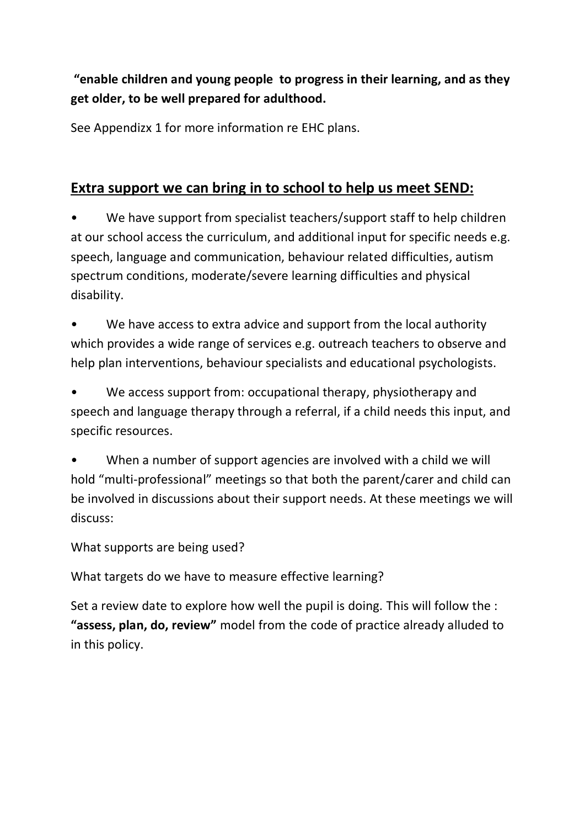**"enable children and young people to progress in their learning, and as they get older, to be well prepared for adulthood.**

See Appendizx 1 for more information re EHC plans.

### **Extra support we can bring in to school to help us meet SEND:**

We have support from specialist teachers/support staff to help children at our school access the curriculum, and additional input for specific needs e.g. speech, language and communication, behaviour related difficulties, autism spectrum conditions, moderate/severe learning difficulties and physical disability.

We have access to extra advice and support from the local authority which provides a wide range of services e.g. outreach teachers to observe and help plan interventions, behaviour specialists and educational psychologists.

We access support from: occupational therapy, physiotherapy and speech and language therapy through a referral, if a child needs this input, and specific resources.

When a number of support agencies are involved with a child we will hold "multi-professional" meetings so that both the parent/carer and child can be involved in discussions about their support needs. At these meetings we will discuss:

What supports are being used?

What targets do we have to measure effective learning?

Set a review date to explore how well the pupil is doing. This will follow the : **"assess, plan, do, review"** model from the code of practice already alluded to in this policy.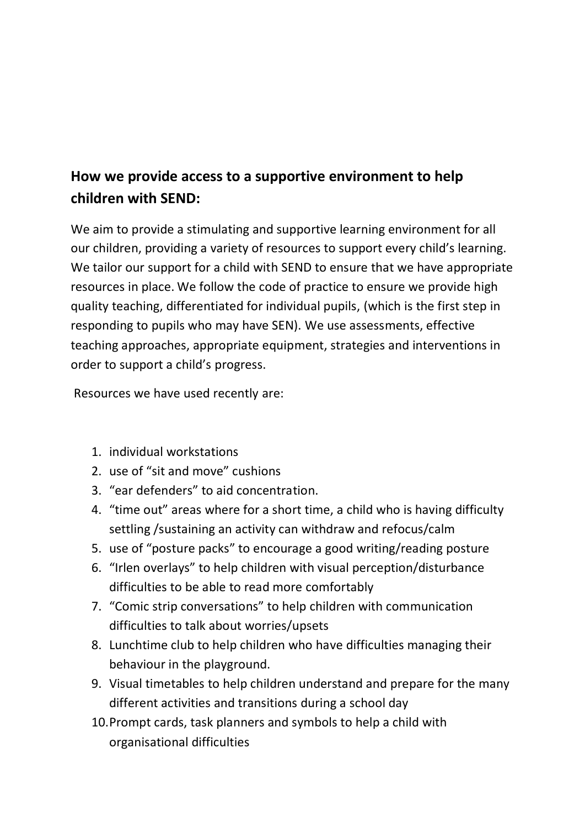# **How we provide access to a supportive environment to help children with SEND:**

We aim to provide a stimulating and supportive learning environment for all our children, providing a variety of resources to support every child's learning. We tailor our support for a child with SEND to ensure that we have appropriate resources in place. We follow the code of practice to ensure we provide high quality teaching, differentiated for individual pupils, (which is the first step in responding to pupils who may have SEN). We use assessments, effective teaching approaches, appropriate equipment, strategies and interventions in order to support a child's progress.

Resources we have used recently are:

- 1. individual workstations
- 2. use of "sit and move" cushions
- 3. "ear defenders" to aid concentration.
- 4. "time out" areas where for a short time, a child who is having difficulty settling /sustaining an activity can withdraw and refocus/calm
- 5. use of "posture packs" to encourage a good writing/reading posture
- 6. "Irlen overlays" to help children with visual perception/disturbance difficulties to be able to read more comfortably
- 7. "Comic strip conversations" to help children with communication difficulties to talk about worries/upsets
- 8. Lunchtime club to help children who have difficulties managing their behaviour in the playground.
- 9. Visual timetables to help children understand and prepare for the many different activities and transitions during a school day
- 10.Prompt cards, task planners and symbols to help a child with organisational difficulties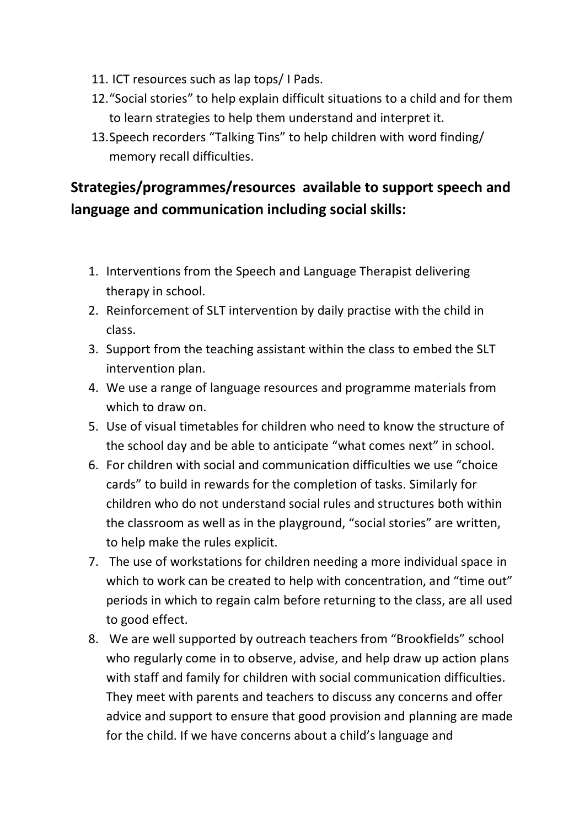- 11. ICT resources such as lap tops/ I Pads.
- 12."Social stories" to help explain difficult situations to a child and for them to learn strategies to help them understand and interpret it.
- 13.Speech recorders "Talking Tins" to help children with word finding/ memory recall difficulties.

## **Strategies/programmes/resources available to support speech and language and communication including social skills:**

- 1. Interventions from the Speech and Language Therapist delivering therapy in school.
- 2. Reinforcement of SLT intervention by daily practise with the child in class.
- 3. Support from the teaching assistant within the class to embed the SLT intervention plan.
- 4. We use a range of language resources and programme materials from which to draw on.
- 5. Use of visual timetables for children who need to know the structure of the school day and be able to anticipate "what comes next" in school.
- 6. For children with social and communication difficulties we use "choice cards" to build in rewards for the completion of tasks. Similarly for children who do not understand social rules and structures both within the classroom as well as in the playground, "social stories" are written, to help make the rules explicit.
- 7. The use of workstations for children needing a more individual space in which to work can be created to help with concentration, and "time out" periods in which to regain calm before returning to the class, are all used to good effect.
- 8. We are well supported by outreach teachers from "Brookfields" school who regularly come in to observe, advise, and help draw up action plans with staff and family for children with social communication difficulties. They meet with parents and teachers to discuss any concerns and offer advice and support to ensure that good provision and planning are made for the child. If we have concerns about a child's language and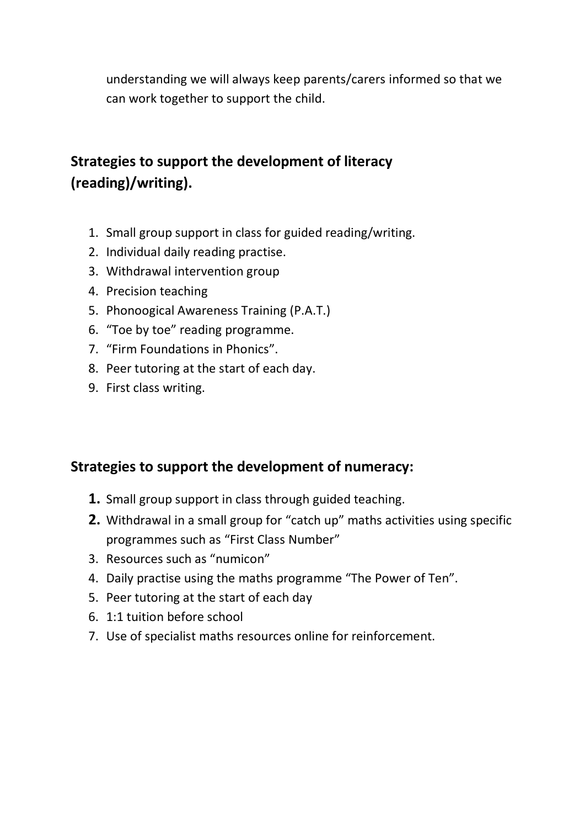understanding we will always keep parents/carers informed so that we can work together to support the child.

# **Strategies to support the development of literacy (reading)/writing).**

- 1. Small group support in class for guided reading/writing.
- 2. Individual daily reading practise.
- 3. Withdrawal intervention group
- 4. Precision teaching
- 5. Phonoogical Awareness Training (P.A.T.)
- 6. "Toe by toe" reading programme.
- 7. "Firm Foundations in Phonics".
- 8. Peer tutoring at the start of each day.
- 9. First class writing.

#### **Strategies to support the development of numeracy:**

- **1.** Small group support in class through guided teaching.
- **2.** Withdrawal in a small group for "catch up" maths activities using specific programmes such as "First Class Number"
- 3. Resources such as "numicon"
- 4. Daily practise using the maths programme "The Power of Ten".
- 5. Peer tutoring at the start of each day
- 6. 1:1 tuition before school
- 7. Use of specialist maths resources online for reinforcement.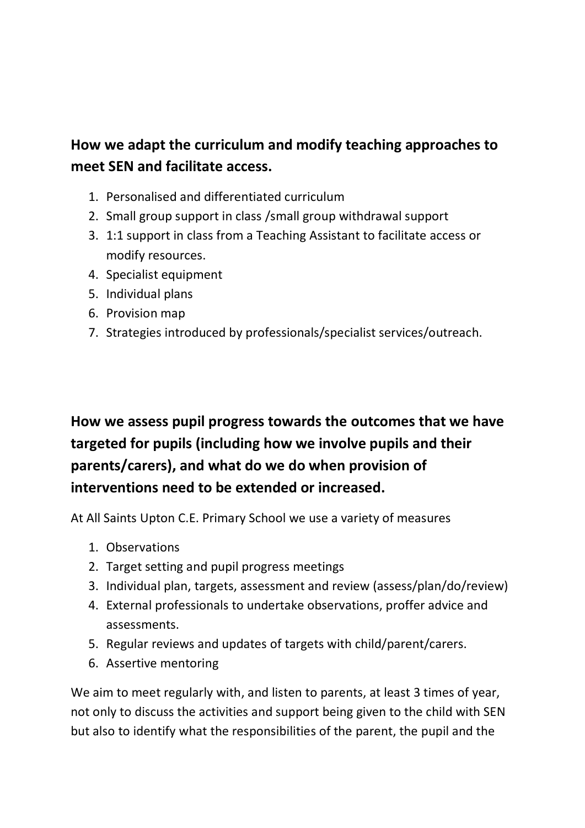# **How we adapt the curriculum and modify teaching approaches to meet SEN and facilitate access.**

- 1. Personalised and differentiated curriculum
- 2. Small group support in class /small group withdrawal support
- 3. 1:1 support in class from a Teaching Assistant to facilitate access or modify resources.
- 4. Specialist equipment
- 5. Individual plans
- 6. Provision map
- 7. Strategies introduced by professionals/specialist services/outreach.

# **How we assess pupil progress towards the outcomes that we have targeted for pupils (including how we involve pupils and their parents/carers), and what do we do when provision of interventions need to be extended or increased.**

At All Saints Upton C.E. Primary School we use a variety of measures

- 1. Observations
- 2. Target setting and pupil progress meetings
- 3. Individual plan, targets, assessment and review (assess/plan/do/review)
- 4. External professionals to undertake observations, proffer advice and assessments.
- 5. Regular reviews and updates of targets with child/parent/carers.
- 6. Assertive mentoring

We aim to meet regularly with, and listen to parents, at least 3 times of year, not only to discuss the activities and support being given to the child with SEN but also to identify what the responsibilities of the parent, the pupil and the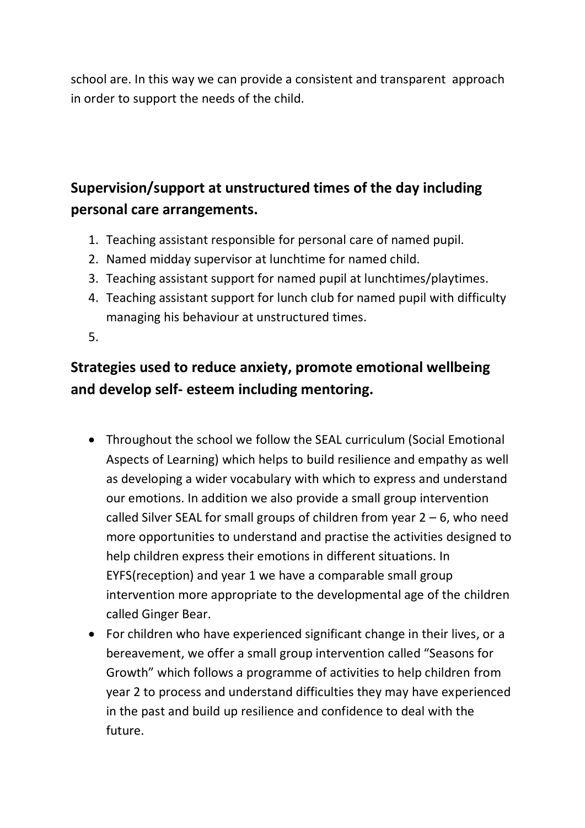school are. In this way we can provide a consistent and transparent approach in order to support the needs of the child.

# **Supervision/support at unstructured times of the day including personal care arrangements.**

- 1. Teaching assistant responsible for personal care of named pupil.
- 2. Named midday supervisor at lunchtime for named child.
- 3. Teaching assistant support for named pupil at lunchtimes/playtimes.
- 4. Teaching assistant support for lunch club for named pupil with difficulty managing his behaviour at unstructured times.
- 5.

# **Strategies used to reduce anxiety, promote emotional wellbeing and develop self- esteem including mentoring.**

- Throughout the school we follow the SEAL curriculum (Social Emotional Aspects of Learning) which helps to build resilience and empathy as well as developing a wider vocabulary with which to express and understand our emotions. In addition we also provide a small group intervention called Silver SEAL for small groups of children from year  $2 - 6$ , who need more opportunities to understand and practise the activities designed to help children express their emotions in different situations. In EYFS(reception) and year 1 we have a comparable small group intervention more appropriate to the developmental age of the children called Ginger Bear.
- For children who have experienced significant change in their lives, or a bereavement, we offer a small group intervention called "Seasons for Growth" which follows a programme of activities to help children from year 2 to process and understand difficulties they may have experienced in the past and build up resilience and confidence to deal with the future.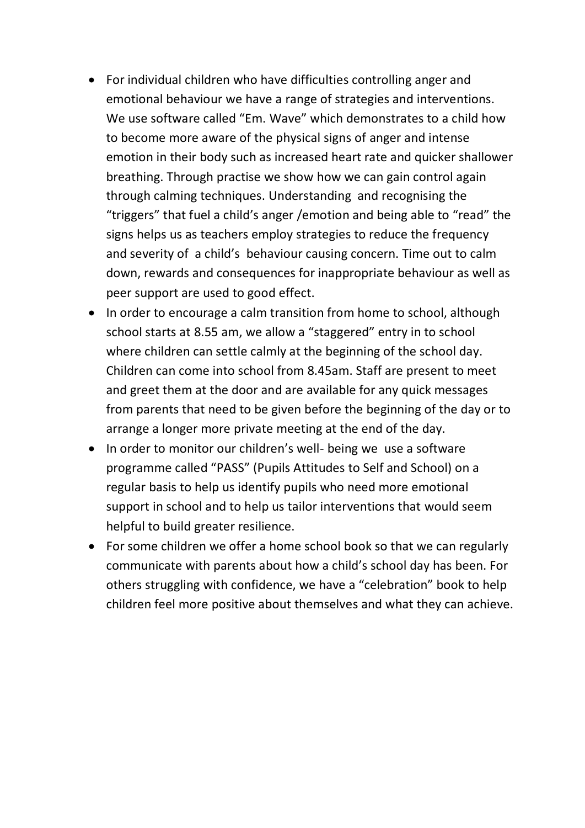- For individual children who have difficulties controlling anger and emotional behaviour we have a range of strategies and interventions. We use software called "Em. Wave" which demonstrates to a child how to become more aware of the physical signs of anger and intense emotion in their body such as increased heart rate and quicker shallower breathing. Through practise we show how we can gain control again through calming techniques. Understanding and recognising the "triggers" that fuel a child's anger /emotion and being able to "read" the signs helps us as teachers employ strategies to reduce the frequency and severity of a child's behaviour causing concern. Time out to calm down, rewards and consequences for inappropriate behaviour as well as peer support are used to good effect.
- In order to encourage a calm transition from home to school, although school starts at 8.55 am, we allow a "staggered" entry in to school where children can settle calmly at the beginning of the school day. Children can come into school from 8.45am. Staff are present to meet and greet them at the door and are available for any quick messages from parents that need to be given before the beginning of the day or to arrange a longer more private meeting at the end of the day.
- In order to monitor our children's well- being we use a software programme called "PASS" (Pupils Attitudes to Self and School) on a regular basis to help us identify pupils who need more emotional support in school and to help us tailor interventions that would seem helpful to build greater resilience.
- For some children we offer a home school book so that we can regularly communicate with parents about how a child's school day has been. For others struggling with confidence, we have a "celebration" book to help children feel more positive about themselves and what they can achieve.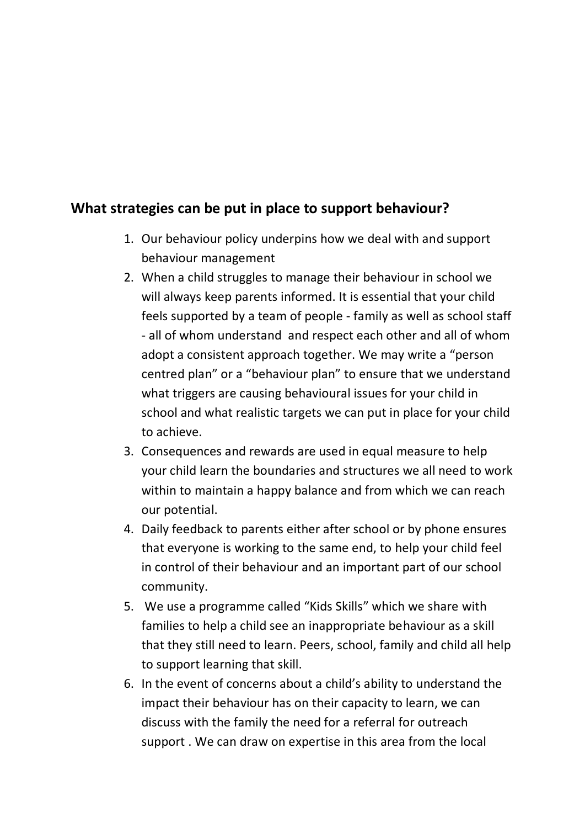#### **What strategies can be put in place to support behaviour?**

- 1. Our behaviour policy underpins how we deal with and support behaviour management
- 2. When a child struggles to manage their behaviour in school we will always keep parents informed. It is essential that your child feels supported by a team of people - family as well as school staff - all of whom understand and respect each other and all of whom adopt a consistent approach together. We may write a "person centred plan" or a "behaviour plan" to ensure that we understand what triggers are causing behavioural issues for your child in school and what realistic targets we can put in place for your child to achieve.
- 3. Consequences and rewards are used in equal measure to help your child learn the boundaries and structures we all need to work within to maintain a happy balance and from which we can reach our potential.
- 4. Daily feedback to parents either after school or by phone ensures that everyone is working to the same end, to help your child feel in control of their behaviour and an important part of our school community.
- 5. We use a programme called "Kids Skills" which we share with families to help a child see an inappropriate behaviour as a skill that they still need to learn. Peers, school, family and child all help to support learning that skill.
- 6. In the event of concerns about a child's ability to understand the impact their behaviour has on their capacity to learn, we can discuss with the family the need for a referral for outreach support . We can draw on expertise in this area from the local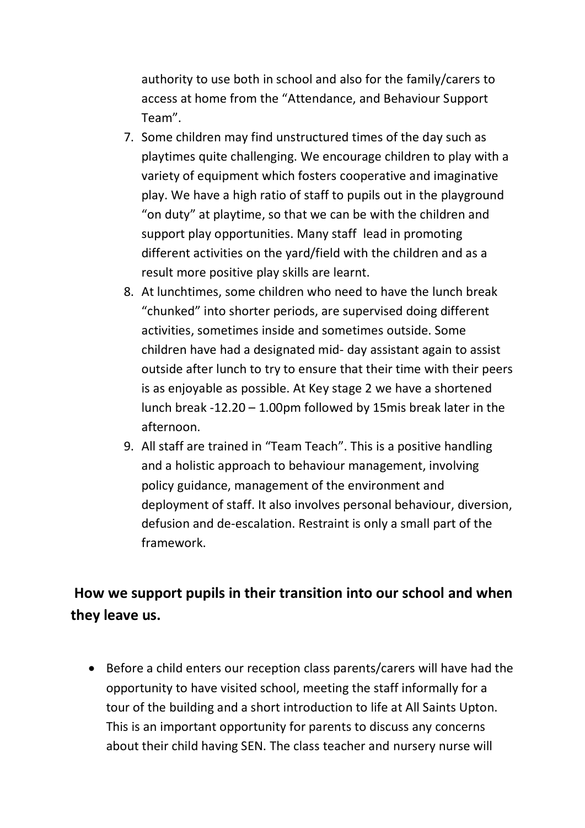authority to use both in school and also for the family/carers to access at home from the "Attendance, and Behaviour Support Team".

- 7. Some children may find unstructured times of the day such as playtimes quite challenging. We encourage children to play with a variety of equipment which fosters cooperative and imaginative play. We have a high ratio of staff to pupils out in the playground "on duty" at playtime, so that we can be with the children and support play opportunities. Many staff lead in promoting different activities on the yard/field with the children and as a result more positive play skills are learnt.
- 8. At lunchtimes, some children who need to have the lunch break "chunked" into shorter periods, are supervised doing different activities, sometimes inside and sometimes outside. Some children have had a designated mid- day assistant again to assist outside after lunch to try to ensure that their time with their peers is as enjoyable as possible. At Key stage 2 we have a shortened lunch break -12.20 – 1.00pm followed by 15mis break later in the afternoon.
- 9. All staff are trained in "Team Teach". This is a positive handling and a holistic approach to behaviour management, involving policy guidance, management of the environment and deployment of staff. It also involves personal behaviour, diversion, defusion and de-escalation. Restraint is only a small part of the framework.

## **How we support pupils in their transition into our school and when they leave us.**

 Before a child enters our reception class parents/carers will have had the opportunity to have visited school, meeting the staff informally for a tour of the building and a short introduction to life at All Saints Upton. This is an important opportunity for parents to discuss any concerns about their child having SEN. The class teacher and nursery nurse will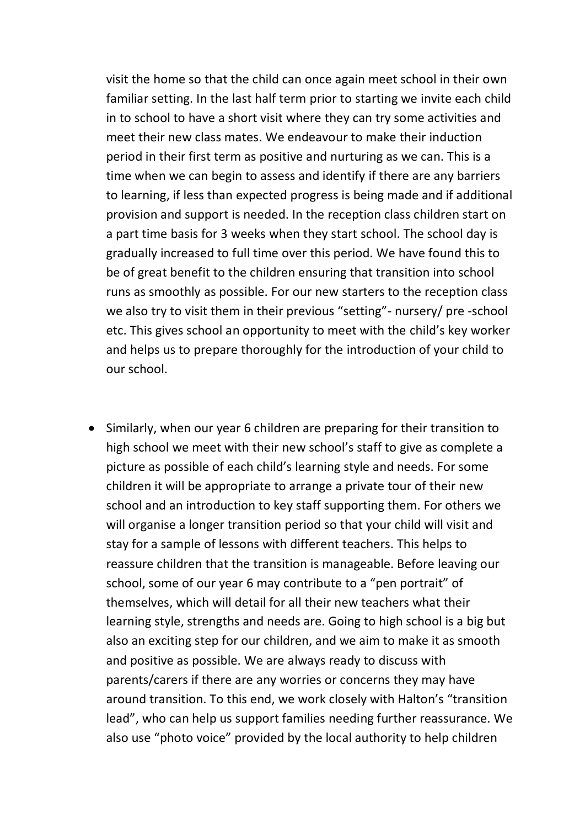visit the home so that the child can once again meet school in their own familiar setting. In the last half term prior to starting we invite each child in to school to have a short visit where they can try some activities and meet their new class mates. We endeavour to make their induction period in their first term as positive and nurturing as we can. This is a time when we can begin to assess and identify if there are any barriers to learning, if less than expected progress is being made and if additional provision and support is needed. In the reception class children start on a part time basis for 3 weeks when they start school. The school day is gradually increased to full time over this period. We have found this to be of great benefit to the children ensuring that transition into school runs as smoothly as possible. For our new starters to the reception class we also try to visit them in their previous "setting"- nursery/ pre -school etc. This gives school an opportunity to meet with the child's key worker and helps us to prepare thoroughly for the introduction of your child to our school.

 Similarly, when our year 6 children are preparing for their transition to high school we meet with their new school's staff to give as complete a picture as possible of each child's learning style and needs. For some children it will be appropriate to arrange a private tour of their new school and an introduction to key staff supporting them. For others we will organise a longer transition period so that your child will visit and stay for a sample of lessons with different teachers. This helps to reassure children that the transition is manageable. Before leaving our school, some of our year 6 may contribute to a "pen portrait" of themselves, which will detail for all their new teachers what their learning style, strengths and needs are. Going to high school is a big but also an exciting step for our children, and we aim to make it as smooth and positive as possible. We are always ready to discuss with parents/carers if there are any worries or concerns they may have around transition. To this end, we work closely with Halton's "transition lead", who can help us support families needing further reassurance. We also use "photo voice" provided by the local authority to help children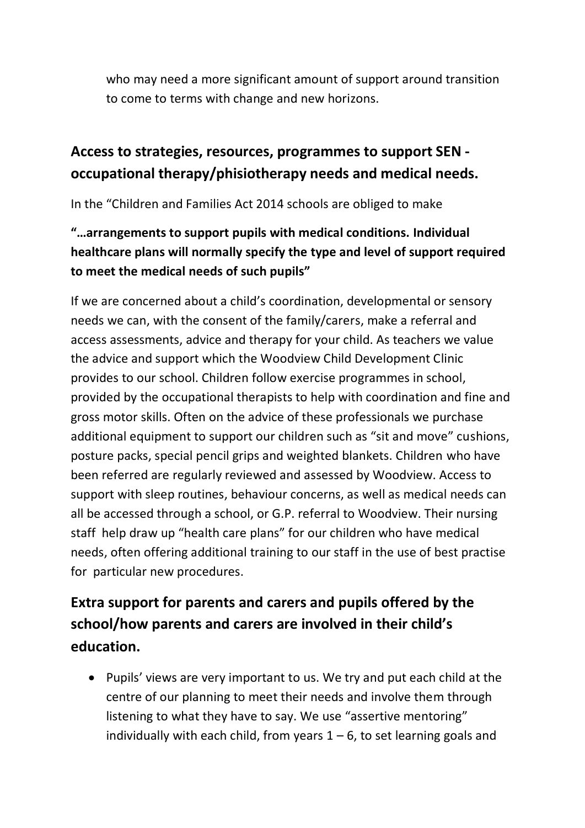who may need a more significant amount of support around transition to come to terms with change and new horizons.

### **Access to strategies, resources, programmes to support SEN occupational therapy/phisiotherapy needs and medical needs.**

In the "Children and Families Act 2014 schools are obliged to make

### **"…arrangements to support pupils with medical conditions. Individual healthcare plans will normally specify the type and level of support required to meet the medical needs of such pupils"**

If we are concerned about a child's coordination, developmental or sensory needs we can, with the consent of the family/carers, make a referral and access assessments, advice and therapy for your child. As teachers we value the advice and support which the Woodview Child Development Clinic provides to our school. Children follow exercise programmes in school, provided by the occupational therapists to help with coordination and fine and gross motor skills. Often on the advice of these professionals we purchase additional equipment to support our children such as "sit and move" cushions, posture packs, special pencil grips and weighted blankets. Children who have been referred are regularly reviewed and assessed by Woodview. Access to support with sleep routines, behaviour concerns, as well as medical needs can all be accessed through a school, or G.P. referral to Woodview. Their nursing staff help draw up "health care plans" for our children who have medical needs, often offering additional training to our staff in the use of best practise for particular new procedures.

# **Extra support for parents and carers and pupils offered by the school/how parents and carers are involved in their child's education.**

 Pupils' views are very important to us. We try and put each child at the centre of our planning to meet their needs and involve them through listening to what they have to say. We use "assertive mentoring" individually with each child, from years  $1 - 6$ , to set learning goals and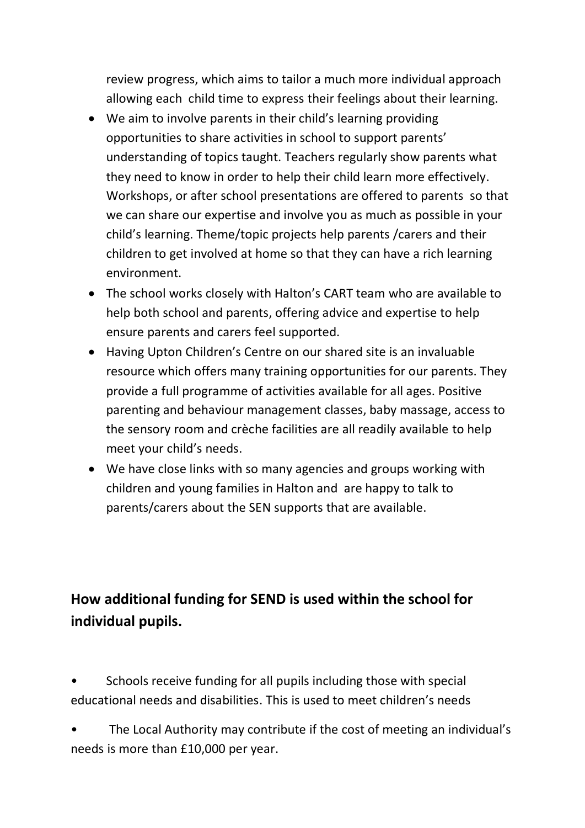review progress, which aims to tailor a much more individual approach allowing each child time to express their feelings about their learning.

- We aim to involve parents in their child's learning providing opportunities to share activities in school to support parents' understanding of topics taught. Teachers regularly show parents what they need to know in order to help their child learn more effectively. Workshops, or after school presentations are offered to parents so that we can share our expertise and involve you as much as possible in your child's learning. Theme/topic projects help parents /carers and their children to get involved at home so that they can have a rich learning environment.
- The school works closely with Halton's CART team who are available to help both school and parents, offering advice and expertise to help ensure parents and carers feel supported.
- Having Upton Children's Centre on our shared site is an invaluable resource which offers many training opportunities for our parents. They provide a full programme of activities available for all ages. Positive parenting and behaviour management classes, baby massage, access to the sensory room and crèche facilities are all readily available to help meet your child's needs.
- We have close links with so many agencies and groups working with children and young families in Halton and are happy to talk to parents/carers about the SEN supports that are available.

# **How additional funding for SEND is used within the school for individual pupils.**

• Schools receive funding for all pupils including those with special educational needs and disabilities. This is used to meet children's needs

• The Local Authority may contribute if the cost of meeting an individual's needs is more than £10,000 per year.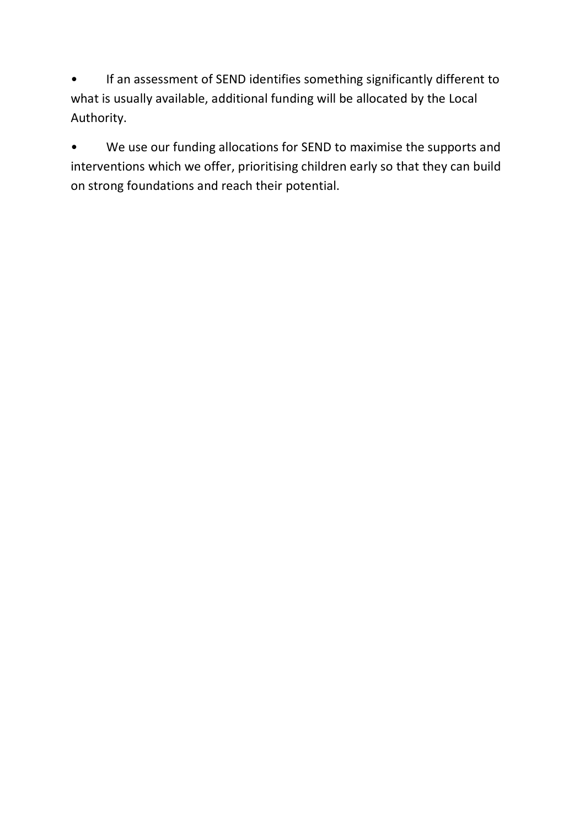• If an assessment of SEND identifies something significantly different to what is usually available, additional funding will be allocated by the Local Authority.

• We use our funding allocations for SEND to maximise the supports and interventions which we offer, prioritising children early so that they can build on strong foundations and reach their potential.